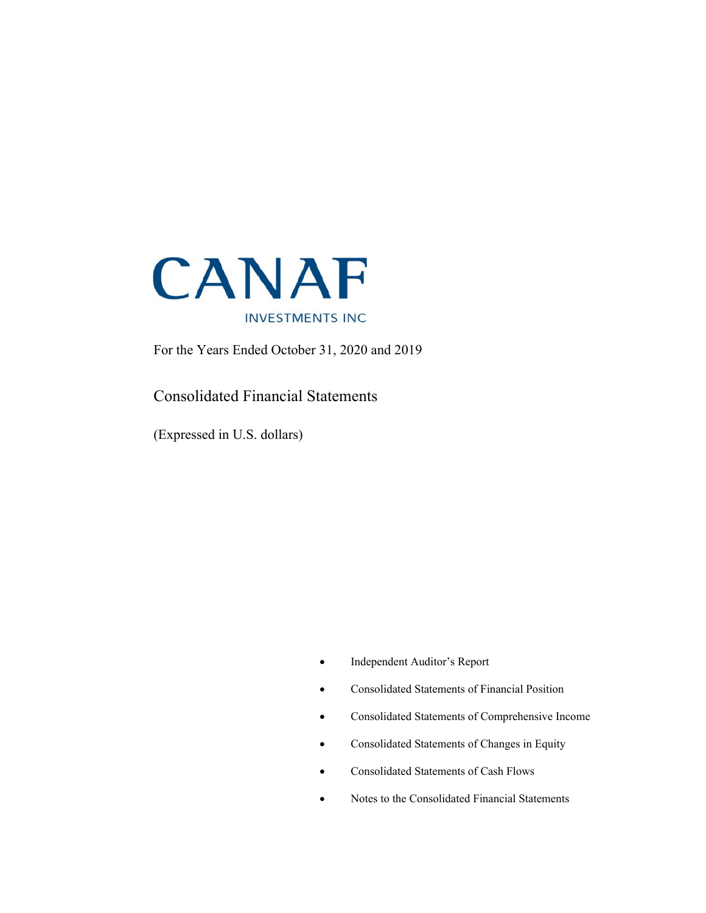

For the Years Ended October 31, 2020 and 2019

# Consolidated Financial Statements

(Expressed in U.S. dollars)

- Independent Auditor's Report
- Consolidated Statements of Financial Position
- Consolidated Statements of Comprehensive Income
- Consolidated Statements of Changes in Equity
- Consolidated Statements of Cash Flows
- Notes to the Consolidated Financial Statements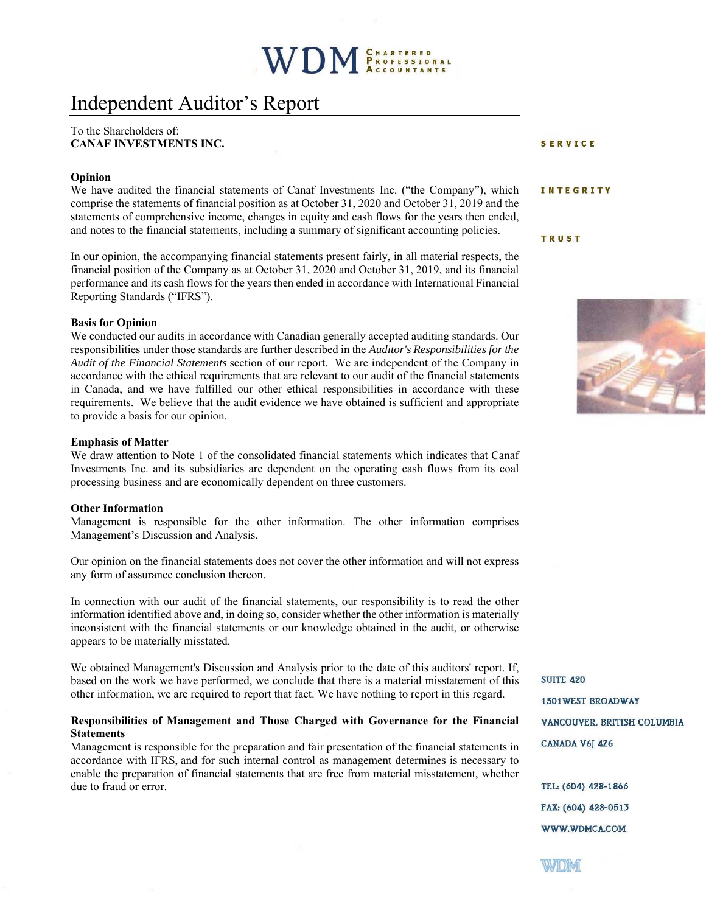# Independent Auditor's Report

#### To the Shareholders of: **CANAF INVESTMENTS INC.**

#### **Opinion**

We have audited the financial statements of Canaf Investments Inc. ("the Company"), which comprise the statements of financial position as at October 31, 2020 and October 31, 2019 and the statements of comprehensive income, changes in equity and cash flows for the years then ended, and notes to the financial statements, including a summary of significant accounting policies.

In our opinion, the accompanying financial statements present fairly, in all material respects, the financial position of the Company as at October 31, 2020 and October 31, 2019, and its financial performance and its cash flows for the years then ended in accordance with International Financial Reporting Standards ("IFRS").

#### **Basis for Opinion**

We conducted our audits in accordance with Canadian generally accepted auditing standards. Our responsibilities under those standards are further described in the *Auditor's Responsibilities for the Audit of the Financial Statements* section of our report. We are independent of the Company in accordance with the ethical requirements that are relevant to our audit of the financial statements in Canada, and we have fulfilled our other ethical responsibilities in accordance with these requirements. We believe that the audit evidence we have obtained is sufficient and appropriate to provide a basis for our opinion.

#### **Emphasis of Matter**

We draw attention to Note 1 of the consolidated financial statements which indicates that Canaf Investments Inc. and its subsidiaries are dependent on the operating cash flows from its coal processing business and are economically dependent on three customers.

#### **Other Information**

Management is responsible for the other information. The other information comprises Management's Discussion and Analysis.

Our opinion on the financial statements does not cover the other information and will not express any form of assurance conclusion thereon.

In connection with our audit of the financial statements, our responsibility is to read the other information identified above and, in doing so, consider whether the other information is materially inconsistent with the financial statements or our knowledge obtained in the audit, or otherwise appears to be materially misstated.

We obtained Management's Discussion and Analysis prior to the date of this auditors' report. If, based on the work we have performed, we conclude that there is a material misstatement of this other information, we are required to report that fact. We have nothing to report in this regard.

#### **Responsibilities of Management and Those Charged with Governance for the Financial Statements**

Management is responsible for the preparation and fair presentation of the financial statements in accordance with IFRS, and for such internal control as management determines is necessary to enable the preparation of financial statements that are free from material misstatement, whether due to fraud or error.

SERVICE

#### INTEGRITY

**TRUST** 



**SUITE 420 1501WEST BROADWAY** VANCOUVER, BRITISH COLUMBIA CANADA V6J 4Z6

TEL: (604) 428-1866 FAX: (604) 428-0513 WWW.WDMCA.COM

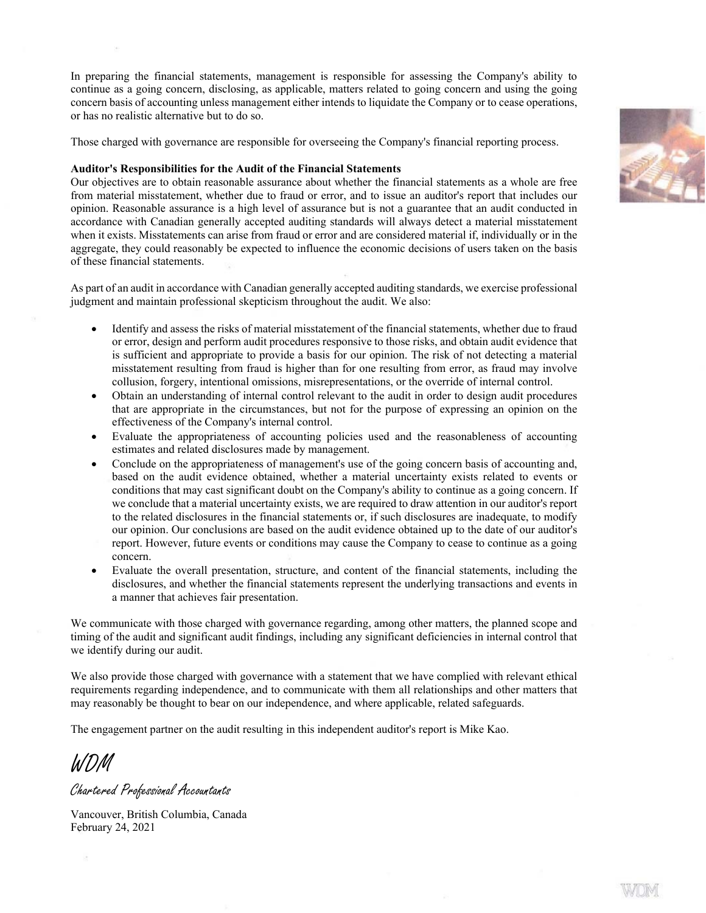In preparing the financial statements, management is responsible for assessing the Company's ability to continue as a going concern, disclosing, as applicable, matters related to going concern and using the going concern basis of accounting unless management either intends to liquidate the Company or to cease operations, or has no realistic alternative but to do so.

Those charged with governance are responsible for overseeing the Company's financial reporting process.

#### **Auditor's Responsibilities for the Audit of the Financial Statements**

Our objectives are to obtain reasonable assurance about whether the financial statements as a whole are free from material misstatement, whether due to fraud or error, and to issue an auditor's report that includes our opinion. Reasonable assurance is a high level of assurance but is not a guarantee that an audit conducted in accordance with Canadian generally accepted auditing standards will always detect a material misstatement when it exists. Misstatements can arise from fraud or error and are considered material if, individually or in the aggregate, they could reasonably be expected to influence the economic decisions of users taken on the basis of these financial statements.

As part of an audit in accordance with Canadian generally accepted auditing standards, we exercise professional judgment and maintain professional skepticism throughout the audit. We also:

- Identify and assess the risks of material misstatement of the financial statements, whether due to fraud or error, design and perform audit procedures responsive to those risks, and obtain audit evidence that is sufficient and appropriate to provide a basis for our opinion. The risk of not detecting a material misstatement resulting from fraud is higher than for one resulting from error, as fraud may involve collusion, forgery, intentional omissions, misrepresentations, or the override of internal control.
- Obtain an understanding of internal control relevant to the audit in order to design audit procedures that are appropriate in the circumstances, but not for the purpose of expressing an opinion on the effectiveness of the Company's internal control.
- Evaluate the appropriateness of accounting policies used and the reasonableness of accounting estimates and related disclosures made by management.
- Conclude on the appropriateness of management's use of the going concern basis of accounting and, based on the audit evidence obtained, whether a material uncertainty exists related to events or conditions that may cast significant doubt on the Company's ability to continue as a going concern. If we conclude that a material uncertainty exists, we are required to draw attention in our auditor's report to the related disclosures in the financial statements or, if such disclosures are inadequate, to modify our opinion. Our conclusions are based on the audit evidence obtained up to the date of our auditor's report. However, future events or conditions may cause the Company to cease to continue as a going concern.
- Evaluate the overall presentation, structure, and content of the financial statements, including the disclosures, and whether the financial statements represent the underlying transactions and events in a manner that achieves fair presentation.

We communicate with those charged with governance regarding, among other matters, the planned scope and timing of the audit and significant audit findings, including any significant deficiencies in internal control that we identify during our audit.

We also provide those charged with governance with a statement that we have complied with relevant ethical requirements regarding independence, and to communicate with them all relationships and other matters that may reasonably be thought to bear on our independence, and where applicable, related safeguards.

The engagement partner on the audit resulting in this independent auditor's report is Mike Kao.

WDM

Chartered Professional Accountants

Vancouver, British Columbia, Canada February 24, 2021

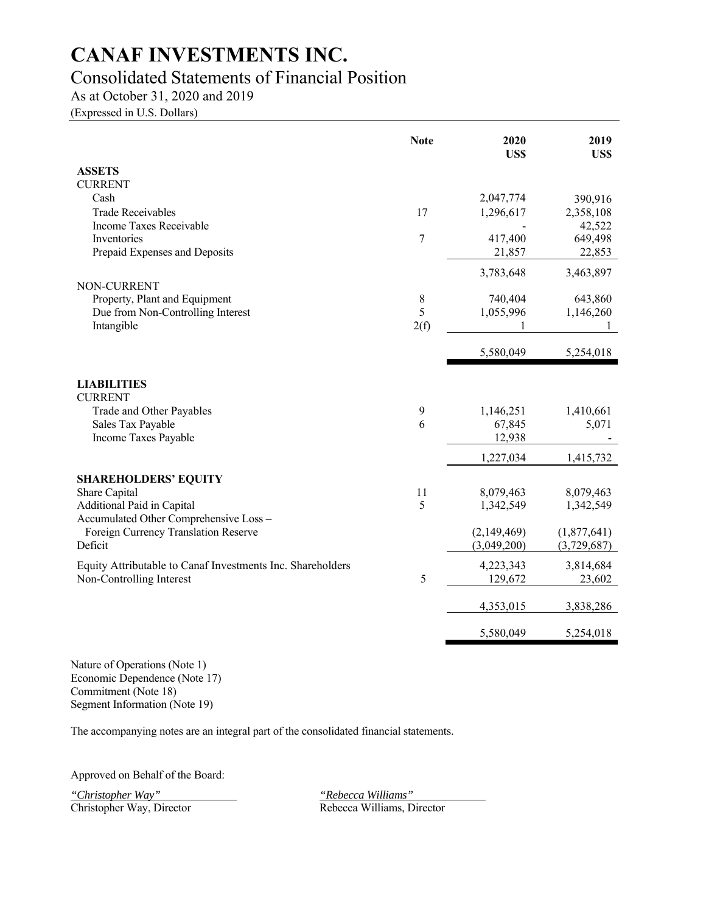# Consolidated Statements of Financial Position

As at October 31, 2020 and 2019

(Expressed in U.S. Dollars)

|                                                            | <b>Note</b> | 2020<br>US\$ | 2019<br>US\$ |
|------------------------------------------------------------|-------------|--------------|--------------|
| <b>ASSETS</b>                                              |             |              |              |
| <b>CURRENT</b>                                             |             |              |              |
| Cash                                                       |             | 2,047,774    | 390,916      |
| <b>Trade Receivables</b>                                   | 17          | 1,296,617    | 2,358,108    |
| Income Taxes Receivable                                    |             |              | 42,522       |
| Inventories                                                | 7           | 417,400      | 649,498      |
| Prepaid Expenses and Deposits                              |             | 21,857       | 22,853       |
|                                                            |             | 3,783,648    | 3,463,897    |
| NON-CURRENT                                                |             |              |              |
| Property, Plant and Equipment                              | $\,8\,$     | 740,404      | 643,860      |
| Due from Non-Controlling Interest                          | 5           | 1,055,996    | 1,146,260    |
| Intangible                                                 | 2(f)        |              |              |
|                                                            |             | 5,580,049    | 5,254,018    |
| <b>LIABILITIES</b>                                         |             |              |              |
| <b>CURRENT</b>                                             |             |              |              |
| Trade and Other Payables                                   | 9           | 1,146,251    | 1,410,661    |
| Sales Tax Payable                                          | 6           | 67,845       | 5,071        |
| Income Taxes Payable                                       |             | 12,938       |              |
|                                                            |             | 1,227,034    | 1,415,732    |
|                                                            |             |              |              |
| <b>SHAREHOLDERS' EQUITY</b><br>Share Capital               | 11          | 8,079,463    | 8,079,463    |
| Additional Paid in Capital                                 | 5           | 1,342,549    | 1,342,549    |
| Accumulated Other Comprehensive Loss -                     |             |              |              |
| Foreign Currency Translation Reserve                       |             | (2,149,469)  | (1,877,641)  |
| Deficit                                                    |             | (3,049,200)  | (3,729,687)  |
| Equity Attributable to Canaf Investments Inc. Shareholders |             | 4,223,343    | 3,814,684    |
| Non-Controlling Interest                                   | 5           | 129,672      | 23,602       |
|                                                            |             |              |              |
|                                                            |             | 4,353,015    | 3,838,286    |
|                                                            |             | 5,580,049    | 5,254,018    |

Nature of Operations (Note 1) Economic Dependence (Note 17) Commitment (Note 18) Segment Information (Note 19)

The accompanying notes are an integral part of the consolidated financial statements.

Approved on Behalf of the Board:

*"Christopher Way" "Rebecca Williams"* 

Rebecca Williams, Director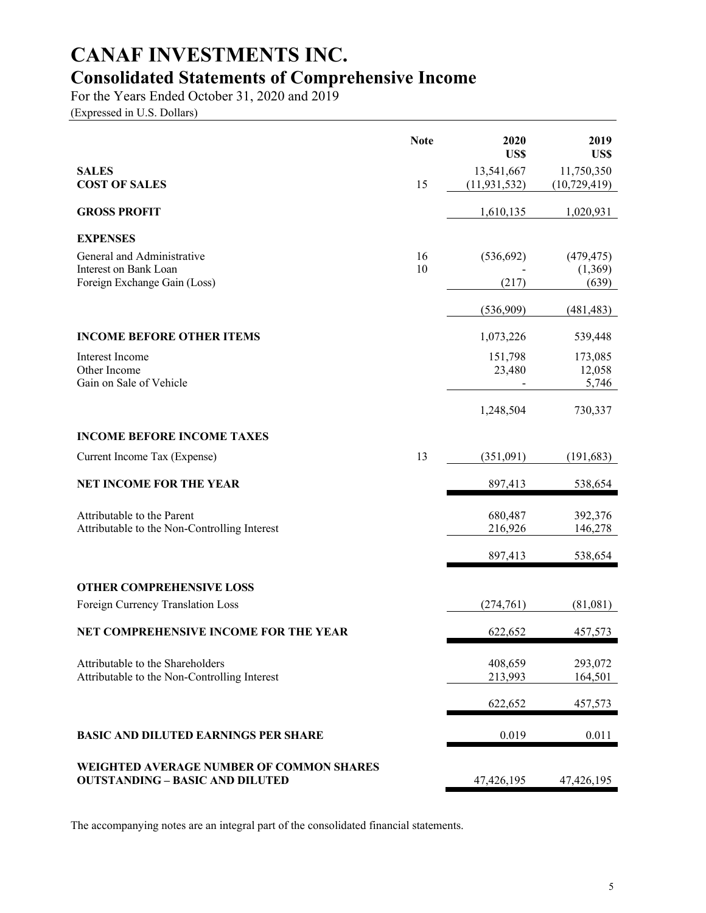# **CANAF INVESTMENTS INC. Consolidated Statements of Comprehensive Income**

For the Years Ended October 31, 2020 and 2019

(Expressed in U.S. Dollars)

|                                                                                           | <b>Note</b> | 2020<br>US\$                 | 2019<br>US\$                 |
|-------------------------------------------------------------------------------------------|-------------|------------------------------|------------------------------|
| <b>SALES</b><br><b>COST OF SALES</b>                                                      | 15          | 13,541,667<br>(11, 931, 532) | 11,750,350<br>(10, 729, 419) |
| <b>GROSS PROFIT</b>                                                                       |             | 1,610,135                    | 1,020,931                    |
| <b>EXPENSES</b>                                                                           |             |                              |                              |
| General and Administrative                                                                | 16          | (536, 692)                   | (479, 475)                   |
| Interest on Bank Loan<br>Foreign Exchange Gain (Loss)                                     | 10          | (217)                        | (1,369)<br>(639)             |
|                                                                                           |             | (536,909)                    | (481, 483)                   |
| <b>INCOME BEFORE OTHER ITEMS</b>                                                          |             | 1,073,226                    | 539,448                      |
| Interest Income                                                                           |             | 151,798                      | 173,085                      |
| Other Income<br>Gain on Sale of Vehicle                                                   |             | 23,480                       | 12,058<br>5,746              |
|                                                                                           |             | 1,248,504                    | 730,337                      |
| <b>INCOME BEFORE INCOME TAXES</b>                                                         |             |                              |                              |
| Current Income Tax (Expense)                                                              | 13          | (351,091)                    | (191, 683)                   |
| <b>NET INCOME FOR THE YEAR</b>                                                            |             | 897,413                      | 538,654                      |
| Attributable to the Parent                                                                |             | 680,487                      | 392,376                      |
| Attributable to the Non-Controlling Interest                                              |             | 216,926                      | 146,278                      |
|                                                                                           |             | 897,413                      | 538,654                      |
| <b>OTHER COMPREHENSIVE LOSS</b>                                                           |             |                              |                              |
| Foreign Currency Translation Loss                                                         |             | (274, 761)                   | (81,081)                     |
| NET COMPREHENSIVE INCOME FOR THE YEAR                                                     |             | 622,652                      | 457,573                      |
| Attributable to the Shareholders                                                          |             | 408,659                      | 293,072                      |
| Attributable to the Non-Controlling Interest                                              |             | 213,993                      | 164,501                      |
|                                                                                           |             | 622,652                      | 457,573                      |
| <b>BASIC AND DILUTED EARNINGS PER SHARE</b>                                               |             | 0.019                        | 0.011                        |
| <b>WEIGHTED AVERAGE NUMBER OF COMMON SHARES</b><br><b>OUTSTANDING - BASIC AND DILUTED</b> |             | 47,426,195                   | 47,426,195                   |

The accompanying notes are an integral part of the consolidated financial statements.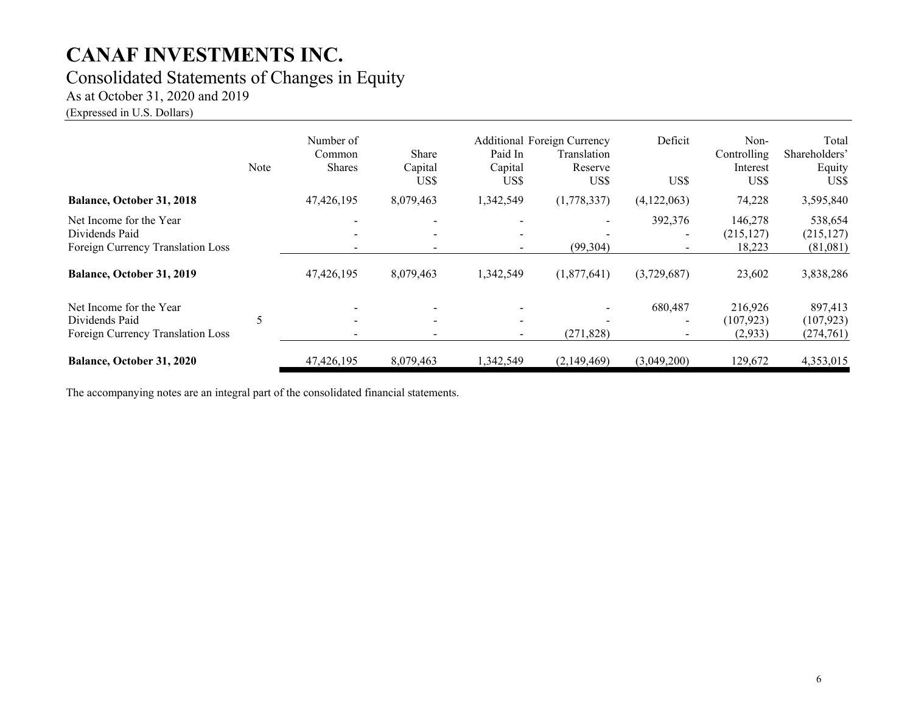## Consolidated Statements of Changes in Equity

As at October 31, 2020 and 2019

(Expressed in U.S. Dollars)

|                                                                                | Note | Number of<br>Common<br><b>Shares</b> | Share<br>Capital<br>US\$ | Paid In<br>Capital<br>US\$                           | Additional Foreign Currency<br>Translation<br>Reserve<br>US\$ | Deficit<br>US\$                     | Non-<br>Controlling<br>Interest<br>US\$ | Total<br>Shareholders'<br>Equity<br>US\$ |
|--------------------------------------------------------------------------------|------|--------------------------------------|--------------------------|------------------------------------------------------|---------------------------------------------------------------|-------------------------------------|-----------------------------------------|------------------------------------------|
| <b>Balance, October 31, 2018</b>                                               |      | 47,426,195                           | 8,079,463                | 1,342,549                                            | (1,778,337)                                                   | (4,122,063)                         | 74,228                                  | 3,595,840                                |
| Net Income for the Year<br>Dividends Paid<br>Foreign Currency Translation Loss |      |                                      | $\overline{\phantom{0}}$ | $\overline{\phantom{a}}$<br>$\overline{\phantom{a}}$ | (99, 304)                                                     | 392,376<br>$\overline{\phantom{a}}$ | 146,278<br>(215, 127)<br>18,223         | 538,654<br>(215, 127)<br>(81,081)        |
| Balance, October 31, 2019                                                      |      | 47,426,195                           | 8,079,463                | 1,342,549                                            | (1,877,641)                                                   | (3,729,687)                         | 23,602                                  | 3,838,286                                |
| Net Income for the Year<br>Dividends Paid<br>Foreign Currency Translation Loss | 5    |                                      | $\overline{\phantom{a}}$ | $\overline{\phantom{0}}$<br>$\blacksquare$           | (271, 828)                                                    | 680,487<br>$\overline{\phantom{a}}$ | 216,926<br>(107, 923)<br>(2, 933)       | 897,413<br>(107, 923)<br>(274,761)       |
| Balance, October 31, 2020                                                      |      | 47,426,195                           | 8,079,463                | 1,342,549                                            | (2,149,469)                                                   | (3,049,200)                         | 129,672                                 | 4,353,015                                |

The accompanying notes are an integral part of the consolidated financial statements.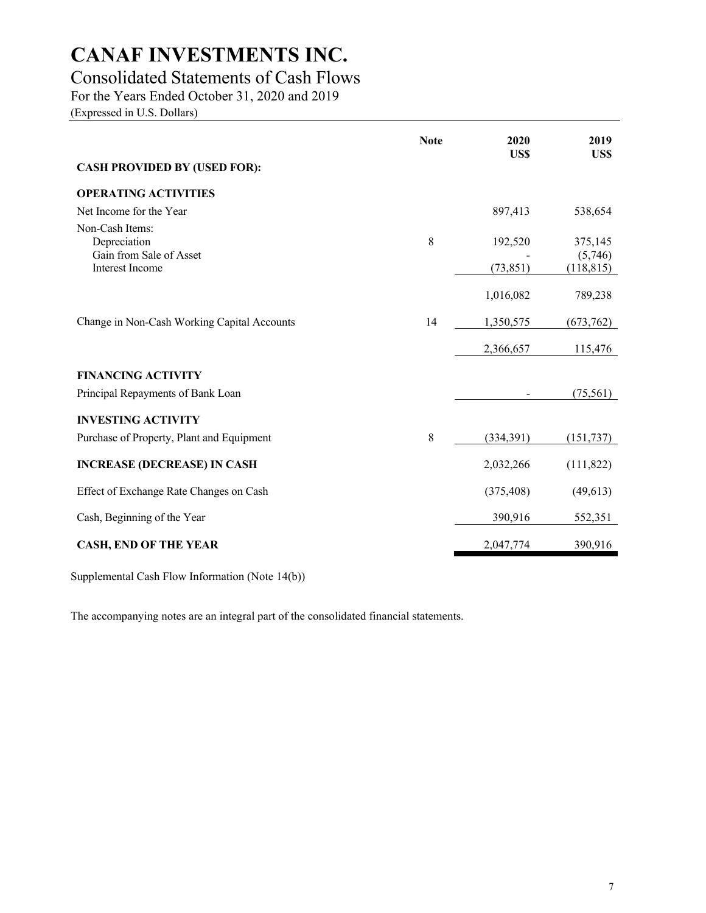# Consolidated Statements of Cash Flows

For the Years Ended October 31, 2020 and 2019

(Expressed in U.S. Dollars)

|                                                            | <b>Note</b> | 2020<br>US\$ | 2019<br>US\$          |
|------------------------------------------------------------|-------------|--------------|-----------------------|
| <b>CASH PROVIDED BY (USED FOR):</b>                        |             |              |                       |
| <b>OPERATING ACTIVITIES</b>                                |             |              |                       |
| Net Income for the Year                                    |             | 897,413      | 538,654               |
| Non-Cash Items:<br>Depreciation<br>Gain from Sale of Asset | 8           | 192,520      | 375,145               |
| <b>Interest Income</b>                                     |             | (73, 851)    | (5,746)<br>(118, 815) |
|                                                            |             | 1,016,082    | 789,238               |
| Change in Non-Cash Working Capital Accounts                | 14          | 1,350,575    | (673, 762)            |
|                                                            |             | 2,366,657    | 115,476               |
| <b>FINANCING ACTIVITY</b>                                  |             |              |                       |
| Principal Repayments of Bank Loan                          |             |              | (75, 561)             |
| <b>INVESTING ACTIVITY</b>                                  |             |              |                       |
| Purchase of Property, Plant and Equipment                  | 8           | (334, 391)   | (151, 737)            |
| <b>INCREASE (DECREASE) IN CASH</b>                         |             | 2,032,266    | (111, 822)            |
| Effect of Exchange Rate Changes on Cash                    |             | (375, 408)   | (49,613)              |
| Cash, Beginning of the Year                                |             | 390,916      | 552,351               |
| <b>CASH, END OF THE YEAR</b>                               |             | 2,047,774    | 390,916               |

Supplemental Cash Flow Information (Note 14(b))

The accompanying notes are an integral part of the consolidated financial statements.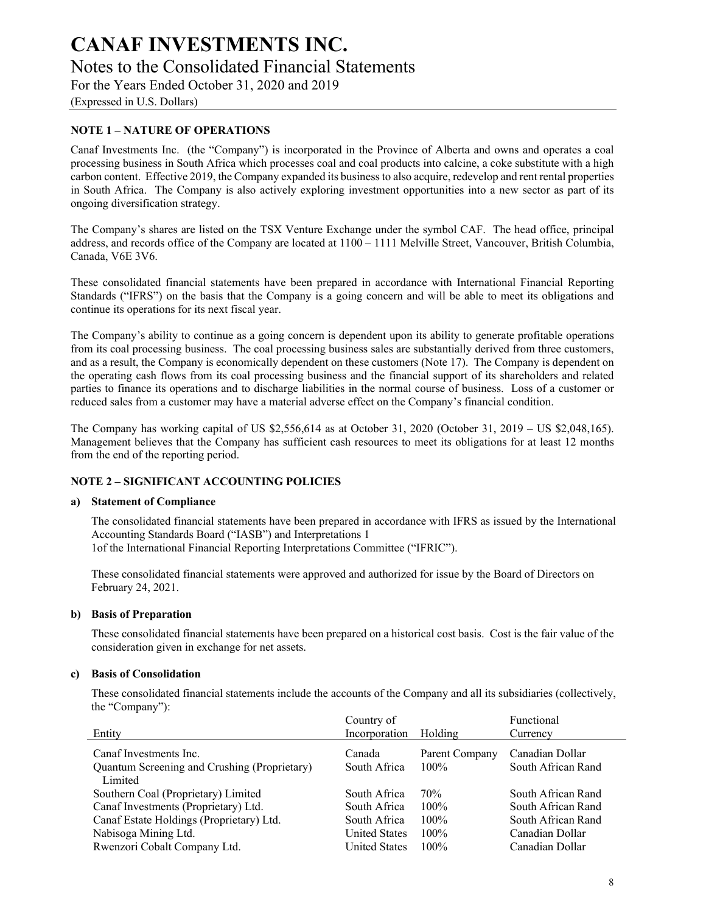(Expressed in U.S. Dollars)

### **NOTE 1 – NATURE OF OPERATIONS**

Canaf Investments Inc. (the "Company") is incorporated in the Province of Alberta and owns and operates a coal processing business in South Africa which processes coal and coal products into calcine, a coke substitute with a high carbon content. Effective 2019, the Company expanded its business to also acquire, redevelop and rent rental properties in South Africa. The Company is also actively exploring investment opportunities into a new sector as part of its ongoing diversification strategy.

The Company's shares are listed on the TSX Venture Exchange under the symbol CAF. The head office, principal address, and records office of the Company are located at 1100 – 1111 Melville Street, Vancouver, British Columbia, Canada, V6E 3V6.

These consolidated financial statements have been prepared in accordance with International Financial Reporting Standards ("IFRS") on the basis that the Company is a going concern and will be able to meet its obligations and continue its operations for its next fiscal year.

The Company's ability to continue as a going concern is dependent upon its ability to generate profitable operations from its coal processing business. The coal processing business sales are substantially derived from three customers, and as a result, the Company is economically dependent on these customers (Note 17). The Company is dependent on the operating cash flows from its coal processing business and the financial support of its shareholders and related parties to finance its operations and to discharge liabilities in the normal course of business. Loss of a customer or reduced sales from a customer may have a material adverse effect on the Company's financial condition.

The Company has working capital of US \$2,556,614 as at October 31, 2020 (October 31, 2019 – US \$2,048,165). Management believes that the Company has sufficient cash resources to meet its obligations for at least 12 months from the end of the reporting period.

#### **NOTE 2 – SIGNIFICANT ACCOUNTING POLICIES**

#### **a) Statement of Compliance**

The consolidated financial statements have been prepared in accordance with IFRS as issued by the International Accounting Standards Board ("IASB") and Interpretations 1 1of the International Financial Reporting Interpretations Committee ("IFRIC").

These consolidated financial statements were approved and authorized for issue by the Board of Directors on February 24, 2021.

#### **b) Basis of Preparation**

These consolidated financial statements have been prepared on a historical cost basis. Cost is the fair value of the consideration given in exchange for net assets.

### **c) Basis of Consolidation**

These consolidated financial statements include the accounts of the Company and all its subsidiaries (collectively, the "Company"):

|                                              | Country of           |                | Functional         |
|----------------------------------------------|----------------------|----------------|--------------------|
| Entity                                       | Incorporation        | Holding        | Currency           |
| Canaf Investments Inc.                       | Canada               | Parent Company | Canadian Dollar    |
| Quantum Screening and Crushing (Proprietary) | South Africa         | $100\%$        | South African Rand |
| Limited                                      |                      |                |                    |
| Southern Coal (Proprietary) Limited          | South Africa         | 70%            | South African Rand |
| Canaf Investments (Proprietary) Ltd.         | South Africa         | $100\%$        | South African Rand |
| Canaf Estate Holdings (Proprietary) Ltd.     | South Africa         | $100\%$        | South African Rand |
| Nabisoga Mining Ltd.                         | <b>United States</b> | $100\%$        | Canadian Dollar    |
| Rwenzori Cobalt Company Ltd.                 | <b>United States</b> | $100\%$        | Canadian Dollar    |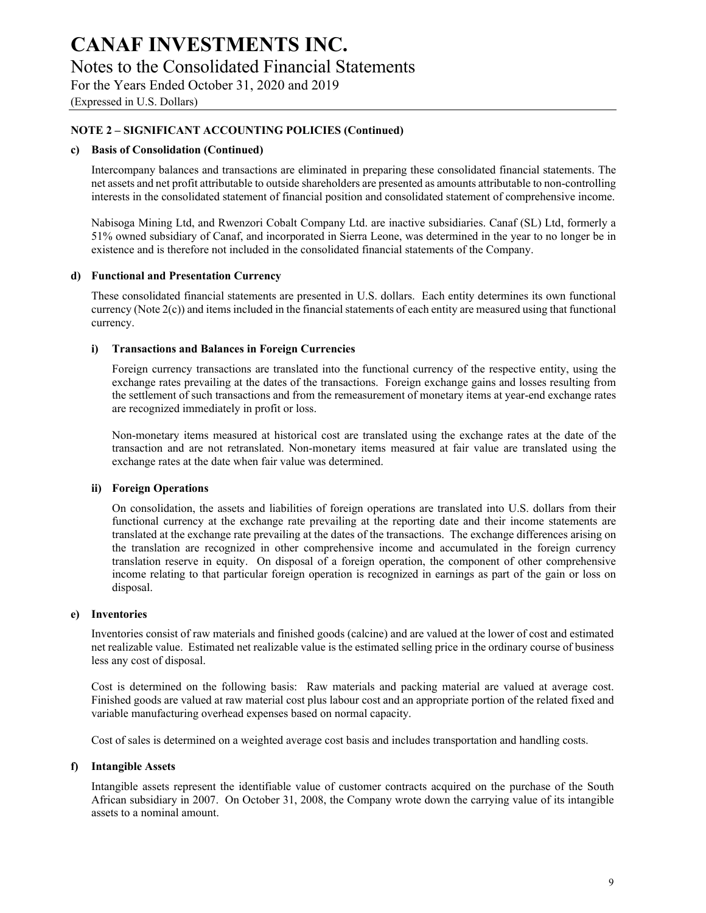(Expressed in U.S. Dollars)

### **NOTE 2 – SIGNIFICANT ACCOUNTING POLICIES (Continued)**

#### **c) Basis of Consolidation (Continued)**

Intercompany balances and transactions are eliminated in preparing these consolidated financial statements. The net assets and net profit attributable to outside shareholders are presented as amounts attributable to non-controlling interests in the consolidated statement of financial position and consolidated statement of comprehensive income.

Nabisoga Mining Ltd, and Rwenzori Cobalt Company Ltd. are inactive subsidiaries. Canaf (SL) Ltd, formerly a 51% owned subsidiary of Canaf, and incorporated in Sierra Leone, was determined in the year to no longer be in existence and is therefore not included in the consolidated financial statements of the Company.

#### **d) Functional and Presentation Currency**

These consolidated financial statements are presented in U.S. dollars. Each entity determines its own functional currency (Note 2(c)) and items included in the financial statements of each entity are measured using that functional currency.

#### **i) Transactions and Balances in Foreign Currencies**

Foreign currency transactions are translated into the functional currency of the respective entity, using the exchange rates prevailing at the dates of the transactions. Foreign exchange gains and losses resulting from the settlement of such transactions and from the remeasurement of monetary items at year-end exchange rates are recognized immediately in profit or loss.

Non-monetary items measured at historical cost are translated using the exchange rates at the date of the transaction and are not retranslated. Non-monetary items measured at fair value are translated using the exchange rates at the date when fair value was determined.

#### **ii) Foreign Operations**

On consolidation, the assets and liabilities of foreign operations are translated into U.S. dollars from their functional currency at the exchange rate prevailing at the reporting date and their income statements are translated at the exchange rate prevailing at the dates of the transactions. The exchange differences arising on the translation are recognized in other comprehensive income and accumulated in the foreign currency translation reserve in equity. On disposal of a foreign operation, the component of other comprehensive income relating to that particular foreign operation is recognized in earnings as part of the gain or loss on disposal.

#### **e) Inventories**

Inventories consist of raw materials and finished goods (calcine) and are valued at the lower of cost and estimated net realizable value. Estimated net realizable value is the estimated selling price in the ordinary course of business less any cost of disposal.

Cost is determined on the following basis: Raw materials and packing material are valued at average cost. Finished goods are valued at raw material cost plus labour cost and an appropriate portion of the related fixed and variable manufacturing overhead expenses based on normal capacity.

Cost of sales is determined on a weighted average cost basis and includes transportation and handling costs.

#### **f) Intangible Assets**

Intangible assets represent the identifiable value of customer contracts acquired on the purchase of the South African subsidiary in 2007. On October 31, 2008, the Company wrote down the carrying value of its intangible assets to a nominal amount.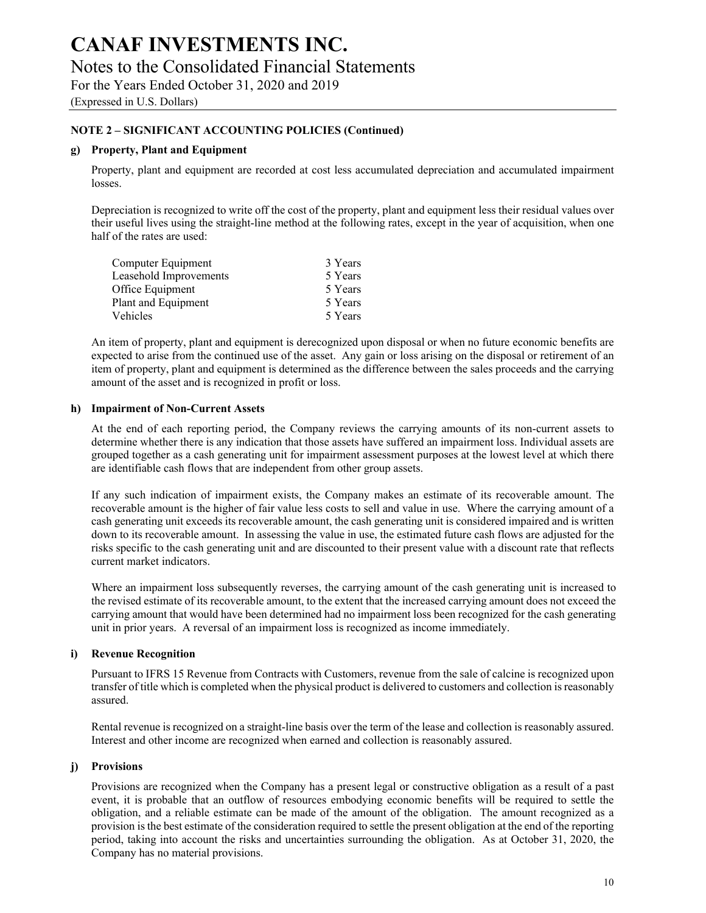(Expressed in U.S. Dollars)

### **NOTE 2 – SIGNIFICANT ACCOUNTING POLICIES (Continued)**

#### **g) Property, Plant and Equipment**

Property, plant and equipment are recorded at cost less accumulated depreciation and accumulated impairment losses.

Depreciation is recognized to write off the cost of the property, plant and equipment less their residual values over their useful lives using the straight-line method at the following rates, except in the year of acquisition, when one half of the rates are used:

| Computer Equipment     | 3 Years |
|------------------------|---------|
| Leasehold Improvements | 5 Years |
| Office Equipment       | 5 Years |
| Plant and Equipment    | 5 Years |
| Vehicles               | 5 Years |

An item of property, plant and equipment is derecognized upon disposal or when no future economic benefits are expected to arise from the continued use of the asset. Any gain or loss arising on the disposal or retirement of an item of property, plant and equipment is determined as the difference between the sales proceeds and the carrying amount of the asset and is recognized in profit or loss.

#### **h) Impairment of Non-Current Assets**

At the end of each reporting period, the Company reviews the carrying amounts of its non-current assets to determine whether there is any indication that those assets have suffered an impairment loss. Individual assets are grouped together as a cash generating unit for impairment assessment purposes at the lowest level at which there are identifiable cash flows that are independent from other group assets.

If any such indication of impairment exists, the Company makes an estimate of its recoverable amount. The recoverable amount is the higher of fair value less costs to sell and value in use. Where the carrying amount of a cash generating unit exceeds its recoverable amount, the cash generating unit is considered impaired and is written down to its recoverable amount. In assessing the value in use, the estimated future cash flows are adjusted for the risks specific to the cash generating unit and are discounted to their present value with a discount rate that reflects current market indicators.

Where an impairment loss subsequently reverses, the carrying amount of the cash generating unit is increased to the revised estimate of its recoverable amount, to the extent that the increased carrying amount does not exceed the carrying amount that would have been determined had no impairment loss been recognized for the cash generating unit in prior years. A reversal of an impairment loss is recognized as income immediately.

#### **i) Revenue Recognition**

Pursuant to IFRS 15 Revenue from Contracts with Customers, revenue from the sale of calcine is recognized upon transfer of title which is completed when the physical product is delivered to customers and collection is reasonably assured.

Rental revenue is recognized on a straight-line basis over the term of the lease and collection is reasonably assured. Interest and other income are recognized when earned and collection is reasonably assured.

#### **j) Provisions**

Provisions are recognized when the Company has a present legal or constructive obligation as a result of a past event, it is probable that an outflow of resources embodying economic benefits will be required to settle the obligation, and a reliable estimate can be made of the amount of the obligation. The amount recognized as a provision is the best estimate of the consideration required to settle the present obligation at the end of the reporting period, taking into account the risks and uncertainties surrounding the obligation. As at October 31, 2020, the Company has no material provisions.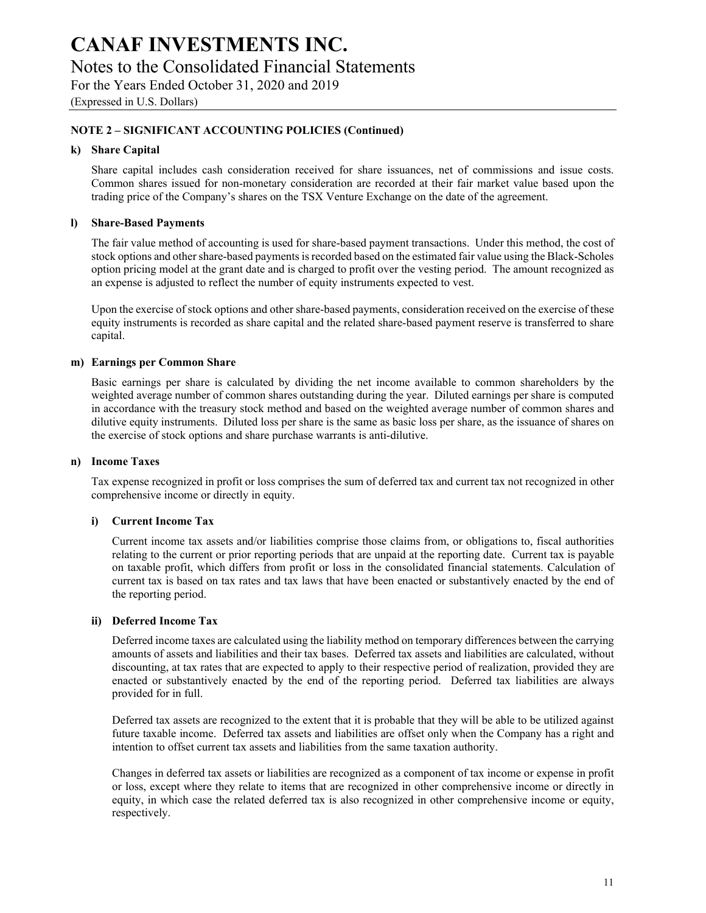# **CANAF INVESTMENTS INC.**  Notes to the Consolidated Financial Statements

For the Years Ended October 31, 2020 and 2019 (Expressed in U.S. Dollars)

## **NOTE 2 – SIGNIFICANT ACCOUNTING POLICIES (Continued)**

#### **k) Share Capital**

Share capital includes cash consideration received for share issuances, net of commissions and issue costs. Common shares issued for non-monetary consideration are recorded at their fair market value based upon the trading price of the Company's shares on the TSX Venture Exchange on the date of the agreement.

#### **l) Share-Based Payments**

The fair value method of accounting is used for share-based payment transactions. Under this method, the cost of stock options and other share-based payments is recorded based on the estimated fair value using the Black-Scholes option pricing model at the grant date and is charged to profit over the vesting period. The amount recognized as an expense is adjusted to reflect the number of equity instruments expected to vest.

Upon the exercise of stock options and other share-based payments, consideration received on the exercise of these equity instruments is recorded as share capital and the related share-based payment reserve is transferred to share capital.

#### **m) Earnings per Common Share**

Basic earnings per share is calculated by dividing the net income available to common shareholders by the weighted average number of common shares outstanding during the year. Diluted earnings per share is computed in accordance with the treasury stock method and based on the weighted average number of common shares and dilutive equity instruments. Diluted loss per share is the same as basic loss per share, as the issuance of shares on the exercise of stock options and share purchase warrants is anti-dilutive.

#### **n) Income Taxes**

Tax expense recognized in profit or loss comprises the sum of deferred tax and current tax not recognized in other comprehensive income or directly in equity.

#### **i) Current Income Tax**

Current income tax assets and/or liabilities comprise those claims from, or obligations to, fiscal authorities relating to the current or prior reporting periods that are unpaid at the reporting date. Current tax is payable on taxable profit, which differs from profit or loss in the consolidated financial statements. Calculation of current tax is based on tax rates and tax laws that have been enacted or substantively enacted by the end of the reporting period.

#### **ii) Deferred Income Tax**

Deferred income taxes are calculated using the liability method on temporary differences between the carrying amounts of assets and liabilities and their tax bases. Deferred tax assets and liabilities are calculated, without discounting, at tax rates that are expected to apply to their respective period of realization, provided they are enacted or substantively enacted by the end of the reporting period. Deferred tax liabilities are always provided for in full.

Deferred tax assets are recognized to the extent that it is probable that they will be able to be utilized against future taxable income. Deferred tax assets and liabilities are offset only when the Company has a right and intention to offset current tax assets and liabilities from the same taxation authority.

Changes in deferred tax assets or liabilities are recognized as a component of tax income or expense in profit or loss, except where they relate to items that are recognized in other comprehensive income or directly in equity, in which case the related deferred tax is also recognized in other comprehensive income or equity, respectively.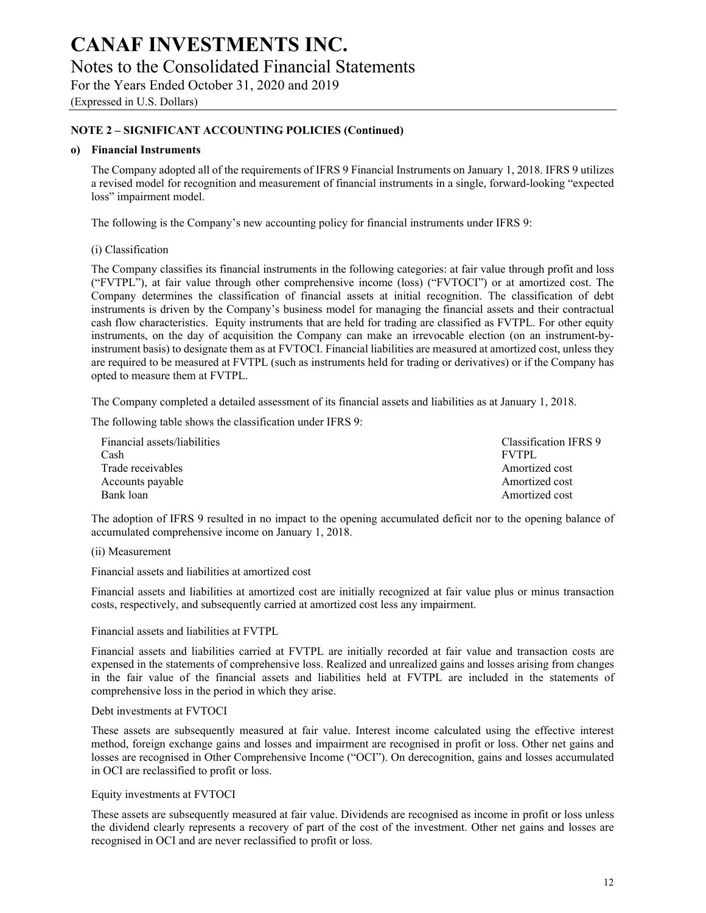(Expressed in U.S. Dollars)

### **NOTE 2 – SIGNIFICANT ACCOUNTING POLICIES (Continued)**

#### **o) Financial Instruments**

The Company adopted all of the requirements of IFRS 9 Financial Instruments on January 1, 2018. IFRS 9 utilizes a revised model for recognition and measurement of financial instruments in a single, forward-looking "expected loss" impairment model.

The following is the Company's new accounting policy for financial instruments under IFRS 9:

(i) Classification

The Company classifies its financial instruments in the following categories: at fair value through profit and loss ("FVTPL"), at fair value through other comprehensive income (loss) ("FVTOCI") or at amortized cost. The Company determines the classification of financial assets at initial recognition. The classification of debt instruments is driven by the Company's business model for managing the financial assets and their contractual cash flow characteristics. Equity instruments that are held for trading are classified as FVTPL. For other equity instruments, on the day of acquisition the Company can make an irrevocable election (on an instrument-byinstrument basis) to designate them as at FVTOCI. Financial liabilities are measured at amortized cost, unless they are required to be measured at FVTPL (such as instruments held for trading or derivatives) or if the Company has opted to measure them at FVTPL.

The Company completed a detailed assessment of its financial assets and liabilities as at January 1, 2018.

The following table shows the classification under IFRS 9:

| Financial assets/liabilities<br>Cash | Classification IFRS 9<br><b>FVTPL</b> |
|--------------------------------------|---------------------------------------|
|                                      |                                       |
| Trade receivables                    | Amortized cost                        |
| Accounts payable                     | Amortized cost                        |
| Bank loan                            | Amortized cost                        |

The adoption of IFRS 9 resulted in no impact to the opening accumulated deficit nor to the opening balance of accumulated comprehensive income on January 1, 2018.

(ii) Measurement

Financial assets and liabilities at amortized cost

Financial assets and liabilities at amortized cost are initially recognized at fair value plus or minus transaction costs, respectively, and subsequently carried at amortized cost less any impairment.

Financial assets and liabilities at FVTPL

Financial assets and liabilities carried at FVTPL are initially recorded at fair value and transaction costs are expensed in the statements of comprehensive loss. Realized and unrealized gains and losses arising from changes in the fair value of the financial assets and liabilities held at FVTPL are included in the statements of comprehensive loss in the period in which they arise.

#### Debt investments at FVTOCI

These assets are subsequently measured at fair value. Interest income calculated using the effective interest method, foreign exchange gains and losses and impairment are recognised in profit or loss. Other net gains and losses are recognised in Other Comprehensive Income ("OCI"). On derecognition, gains and losses accumulated in OCI are reclassified to profit or loss.

#### Equity investments at FVTOCI

These assets are subsequently measured at fair value. Dividends are recognised as income in profit or loss unless the dividend clearly represents a recovery of part of the cost of the investment. Other net gains and losses are recognised in OCI and are never reclassified to profit or loss.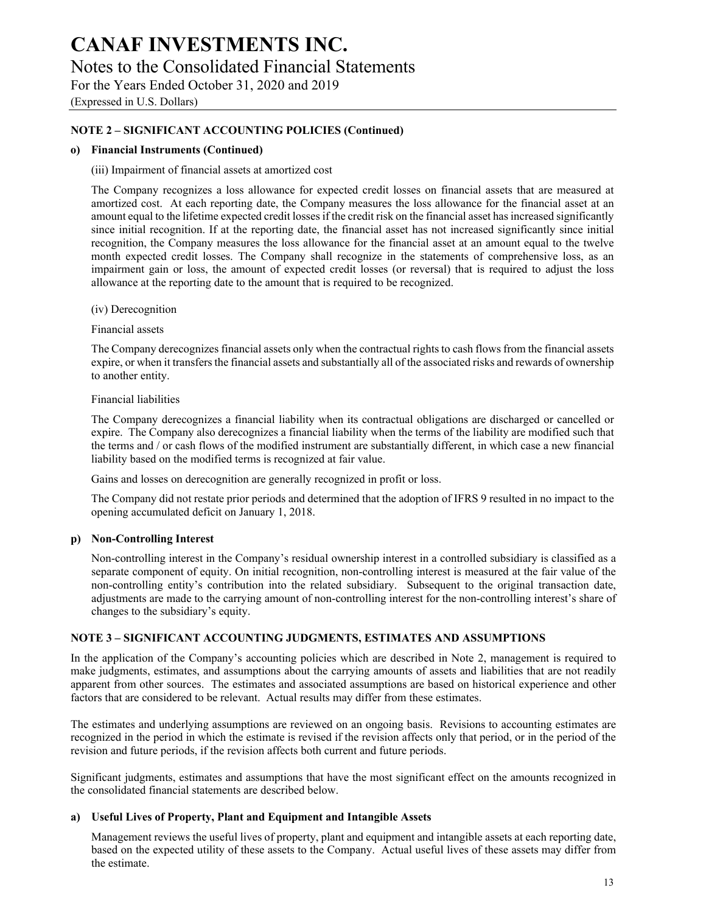(Expressed in U.S. Dollars)

### **NOTE 2 – SIGNIFICANT ACCOUNTING POLICIES (Continued)**

#### **o) Financial Instruments (Continued)**

#### (iii) Impairment of financial assets at amortized cost

The Company recognizes a loss allowance for expected credit losses on financial assets that are measured at amortized cost. At each reporting date, the Company measures the loss allowance for the financial asset at an amount equal to the lifetime expected credit losses if the credit risk on the financial asset has increased significantly since initial recognition. If at the reporting date, the financial asset has not increased significantly since initial recognition, the Company measures the loss allowance for the financial asset at an amount equal to the twelve month expected credit losses. The Company shall recognize in the statements of comprehensive loss, as an impairment gain or loss, the amount of expected credit losses (or reversal) that is required to adjust the loss allowance at the reporting date to the amount that is required to be recognized.

(iv) Derecognition

Financial assets

The Company derecognizes financial assets only when the contractual rights to cash flows from the financial assets expire, or when it transfers the financial assets and substantially all of the associated risks and rewards of ownership to another entity.

Financial liabilities

The Company derecognizes a financial liability when its contractual obligations are discharged or cancelled or expire. The Company also derecognizes a financial liability when the terms of the liability are modified such that the terms and / or cash flows of the modified instrument are substantially different, in which case a new financial liability based on the modified terms is recognized at fair value.

Gains and losses on derecognition are generally recognized in profit or loss.

The Company did not restate prior periods and determined that the adoption of IFRS 9 resulted in no impact to the opening accumulated deficit on January 1, 2018.

#### **p) Non-Controlling Interest**

Non-controlling interest in the Company's residual ownership interest in a controlled subsidiary is classified as a separate component of equity. On initial recognition, non-controlling interest is measured at the fair value of the non-controlling entity's contribution into the related subsidiary. Subsequent to the original transaction date, adjustments are made to the carrying amount of non-controlling interest for the non-controlling interest's share of changes to the subsidiary's equity.

#### **NOTE 3 – SIGNIFICANT ACCOUNTING JUDGMENTS, ESTIMATES AND ASSUMPTIONS**

In the application of the Company's accounting policies which are described in Note 2, management is required to make judgments, estimates, and assumptions about the carrying amounts of assets and liabilities that are not readily apparent from other sources. The estimates and associated assumptions are based on historical experience and other factors that are considered to be relevant. Actual results may differ from these estimates.

The estimates and underlying assumptions are reviewed on an ongoing basis. Revisions to accounting estimates are recognized in the period in which the estimate is revised if the revision affects only that period, or in the period of the revision and future periods, if the revision affects both current and future periods.

Significant judgments, estimates and assumptions that have the most significant effect on the amounts recognized in the consolidated financial statements are described below.

#### **a) Useful Lives of Property, Plant and Equipment and Intangible Assets**

Management reviews the useful lives of property, plant and equipment and intangible assets at each reporting date, based on the expected utility of these assets to the Company. Actual useful lives of these assets may differ from the estimate.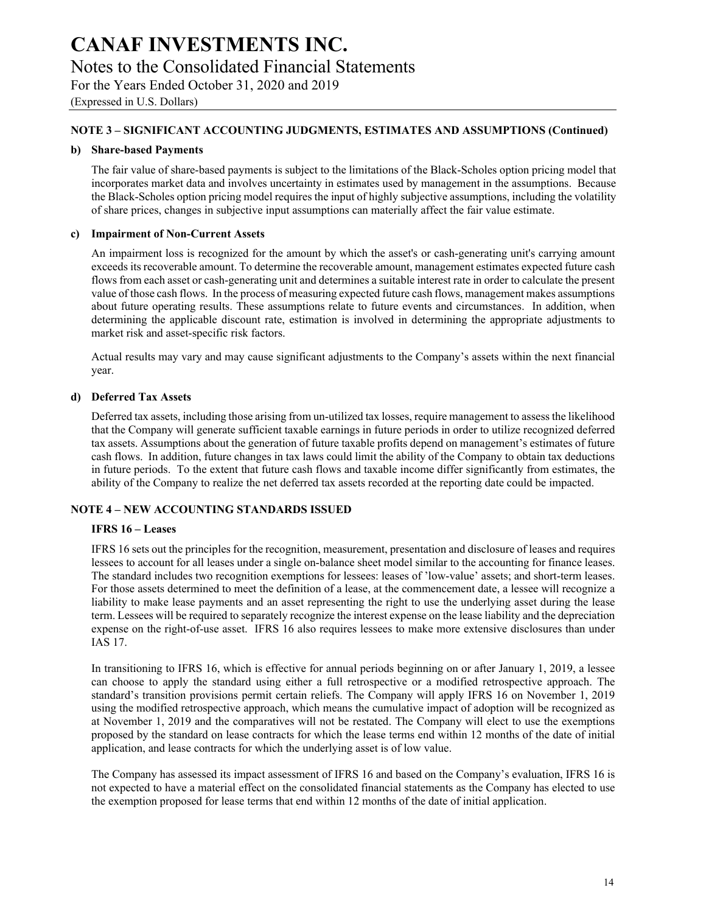# **CANAF INVESTMENTS INC.**  Notes to the Consolidated Financial Statements

For the Years Ended October 31, 2020 and 2019 (Expressed in U.S. Dollars)

### **NOTE 3 – SIGNIFICANT ACCOUNTING JUDGMENTS, ESTIMATES AND ASSUMPTIONS (Continued)**

#### **b) Share-based Payments**

The fair value of share-based payments is subject to the limitations of the Black-Scholes option pricing model that incorporates market data and involves uncertainty in estimates used by management in the assumptions. Because the Black-Scholes option pricing model requires the input of highly subjective assumptions, including the volatility of share prices, changes in subjective input assumptions can materially affect the fair value estimate.

#### **c) Impairment of Non-Current Assets**

An impairment loss is recognized for the amount by which the asset's or cash-generating unit's carrying amount exceeds its recoverable amount. To determine the recoverable amount, management estimates expected future cash flows from each asset or cash-generating unit and determines a suitable interest rate in order to calculate the present value of those cash flows. In the process of measuring expected future cash flows, management makes assumptions about future operating results. These assumptions relate to future events and circumstances. In addition, when determining the applicable discount rate, estimation is involved in determining the appropriate adjustments to market risk and asset-specific risk factors.

Actual results may vary and may cause significant adjustments to the Company's assets within the next financial year.

#### **d) Deferred Tax Assets**

Deferred tax assets, including those arising from un-utilized tax losses, require management to assess the likelihood that the Company will generate sufficient taxable earnings in future periods in order to utilize recognized deferred tax assets. Assumptions about the generation of future taxable profits depend on management's estimates of future cash flows. In addition, future changes in tax laws could limit the ability of the Company to obtain tax deductions in future periods. To the extent that future cash flows and taxable income differ significantly from estimates, the ability of the Company to realize the net deferred tax assets recorded at the reporting date could be impacted.

#### **NOTE 4 – NEW ACCOUNTING STANDARDS ISSUED**

#### **IFRS 16 – Leases**

IFRS 16 sets out the principles for the recognition, measurement, presentation and disclosure of leases and requires lessees to account for all leases under a single on-balance sheet model similar to the accounting for finance leases. The standard includes two recognition exemptions for lessees: leases of 'low-value' assets; and short-term leases. For those assets determined to meet the definition of a lease, at the commencement date, a lessee will recognize a liability to make lease payments and an asset representing the right to use the underlying asset during the lease term. Lessees will be required to separately recognize the interest expense on the lease liability and the depreciation expense on the right-of-use asset. IFRS 16 also requires lessees to make more extensive disclosures than under IAS 17.

In transitioning to IFRS 16, which is effective for annual periods beginning on or after January 1, 2019, a lessee can choose to apply the standard using either a full retrospective or a modified retrospective approach. The standard's transition provisions permit certain reliefs. The Company will apply IFRS 16 on November 1, 2019 using the modified retrospective approach, which means the cumulative impact of adoption will be recognized as at November 1, 2019 and the comparatives will not be restated. The Company will elect to use the exemptions proposed by the standard on lease contracts for which the lease terms end within 12 months of the date of initial application, and lease contracts for which the underlying asset is of low value.

The Company has assessed its impact assessment of IFRS 16 and based on the Company's evaluation, IFRS 16 is not expected to have a material effect on the consolidated financial statements as the Company has elected to use the exemption proposed for lease terms that end within 12 months of the date of initial application.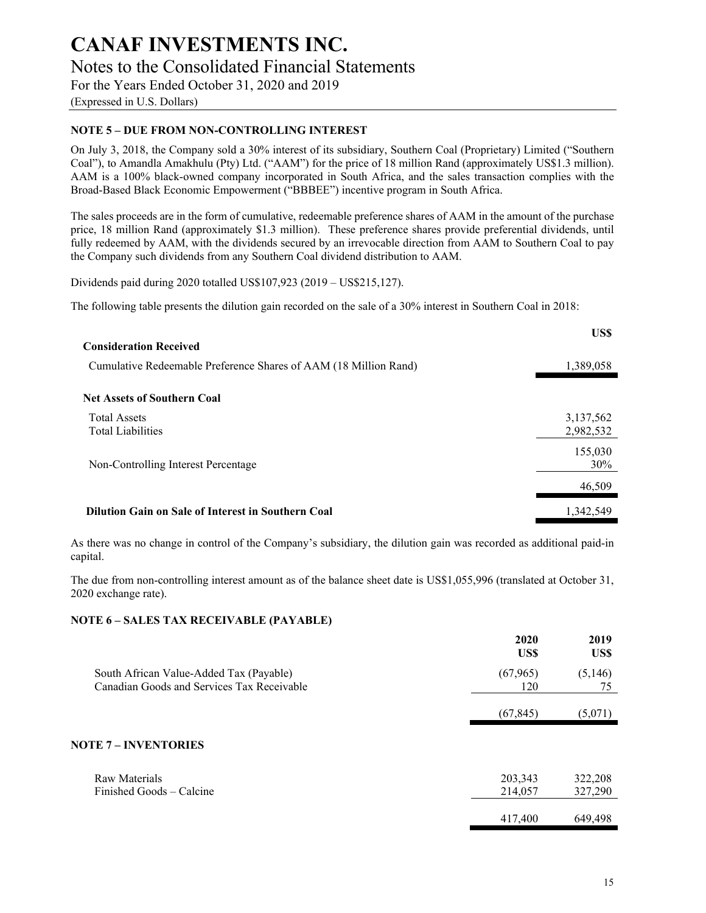(Expressed in U.S. Dollars)

## **NOTE 5 – DUE FROM NON-CONTROLLING INTEREST**

On July 3, 2018, the Company sold a 30% interest of its subsidiary, Southern Coal (Proprietary) Limited ("Southern Coal"), to Amandla Amakhulu (Pty) Ltd. ("AAM") for the price of 18 million Rand (approximately US\$1.3 million). AAM is a 100% black-owned company incorporated in South Africa, and the sales transaction complies with the Broad-Based Black Economic Empowerment ("BBBEE") incentive program in South Africa.

The sales proceeds are in the form of cumulative, redeemable preference shares of AAM in the amount of the purchase price, 18 million Rand (approximately \$1.3 million). These preference shares provide preferential dividends, until fully redeemed by AAM, with the dividends secured by an irrevocable direction from AAM to Southern Coal to pay the Company such dividends from any Southern Coal dividend distribution to AAM.

Dividends paid during 2020 totalled US\$107,923 (2019 – US\$215,127).

The following table presents the dilution gain recorded on the sale of a 30% interest in Southern Coal in 2018:

|                                                                  | US\$                   |
|------------------------------------------------------------------|------------------------|
| <b>Consideration Received</b>                                    |                        |
| Cumulative Redeemable Preference Shares of AAM (18 Million Rand) | 1,389,058              |
| <b>Net Assets of Southern Coal</b>                               |                        |
| <b>Total Assets</b><br><b>Total Liabilities</b>                  | 3,137,562<br>2,982,532 |
| Non-Controlling Interest Percentage                              | 155,030<br>30%         |
|                                                                  | 46,509                 |
| Dilution Gain on Sale of Interest in Southern Coal               | 1,342,549              |

As there was no change in control of the Company's subsidiary, the dilution gain was recorded as additional paid-in capital.

The due from non-controlling interest amount as of the balance sheet date is US\$1,055,996 (translated at October 31, 2020 exchange rate).

#### **NOTE 6 – SALES TAX RECEIVABLE (PAYABLE)**

|                                                                                       | 2020<br>US\$       | 2019<br>US\$       |
|---------------------------------------------------------------------------------------|--------------------|--------------------|
| South African Value-Added Tax (Payable)<br>Canadian Goods and Services Tax Receivable | (67, 965)<br>120   | (5,146)<br>75      |
|                                                                                       | (67, 845)          | (5,071)            |
| <b>NOTE 7 - INVENTORIES</b>                                                           |                    |                    |
| Raw Materials<br>Finished Goods – Calcine                                             | 203,343<br>214,057 | 322,208<br>327,290 |
|                                                                                       | 417,400            | 649.498            |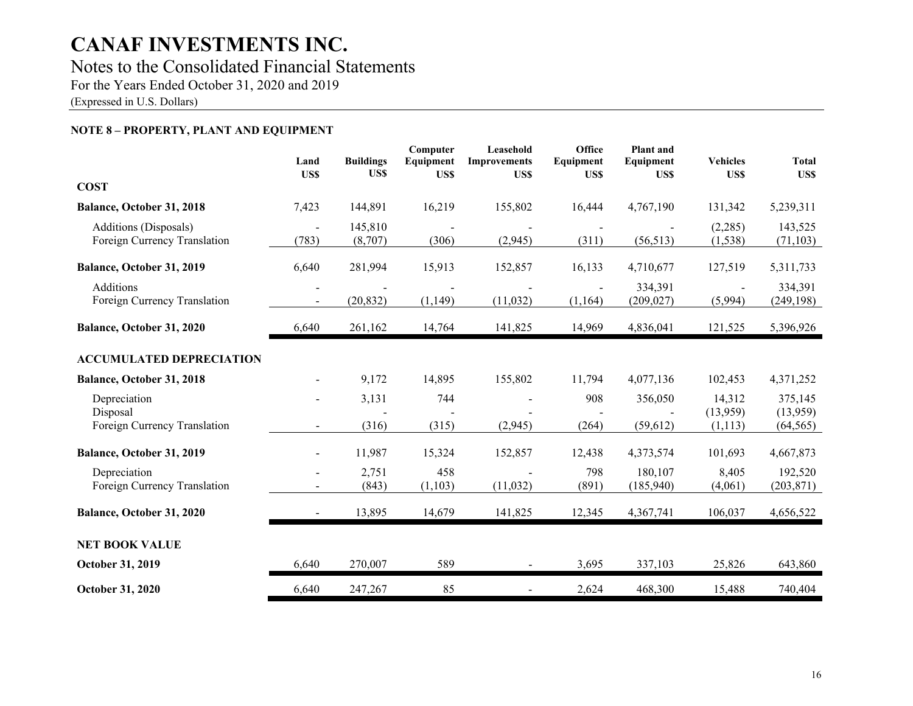## Notes to the Consolidated Financial Statements

For the Years Ended October 31, 2020 and 2019

(Expressed in U.S. Dollars)

## **NOTE 8 – PROPERTY, PLANT AND EQUIPMENT**

|                                                              | Land<br>US\$   | <b>Buildings</b><br>US\$ | Computer<br>Equipment<br>US\$ | Leasehold<br><b>Improvements</b><br>US\$ | Office<br>Equipment<br>US\$ | <b>Plant</b> and<br>Equipment<br>US\$ | <b>Vehicles</b><br>US\$        | <b>Total</b><br>US\$             |
|--------------------------------------------------------------|----------------|--------------------------|-------------------------------|------------------------------------------|-----------------------------|---------------------------------------|--------------------------------|----------------------------------|
| <b>COST</b>                                                  |                |                          |                               |                                          |                             |                                       |                                |                                  |
| Balance, October 31, 2018                                    | 7,423          | 144,891                  | 16,219                        | 155,802                                  | 16,444                      | 4,767,190                             | 131,342                        | 5,239,311                        |
| <b>Additions</b> (Disposals)<br>Foreign Currency Translation | (783)          | 145,810<br>(8,707)       | (306)                         | (2,945)                                  | (311)                       | (56, 513)                             | (2,285)<br>(1, 538)            | 143,525<br>(71, 103)             |
| Balance, October 31, 2019                                    | 6,640          | 281,994                  | 15,913                        | 152,857                                  | 16,133                      | 4,710,677                             | 127,519                        | 5,311,733                        |
| Additions<br>Foreign Currency Translation                    | $\blacksquare$ | (20, 832)                | (1,149)                       | (11,032)                                 | (1,164)                     | 334,391<br>(209, 027)                 | (5,994)                        | 334,391<br>(249, 198)            |
| Balance, October 31, 2020                                    | 6,640          | 261,162                  | 14,764                        | 141,825                                  | 14,969                      | 4,836,041                             | 121,525                        | 5,396,926                        |
| <b>ACCUMULATED DEPRECIATION</b>                              |                |                          |                               |                                          |                             |                                       |                                |                                  |
| Balance, October 31, 2018                                    |                | 9,172                    | 14,895                        | 155,802                                  | 11,794                      | 4,077,136                             | 102,453                        | 4,371,252                        |
| Depreciation<br>Disposal<br>Foreign Currency Translation     | $\blacksquare$ | 3,131<br>(316)           | 744<br>(315)                  | (2,945)                                  | 908<br>(264)                | 356,050<br>(59, 612)                  | 14,312<br>(13,959)<br>(1, 113) | 375,145<br>(13,959)<br>(64, 565) |
| Balance, October 31, 2019                                    |                | 11,987                   | 15,324                        | 152,857                                  | 12,438                      | 4,373,574                             | 101,693                        | 4,667,873                        |
| Depreciation<br>Foreign Currency Translation                 |                | 2,751<br>(843)           | 458<br>(1,103)                | (11,032)                                 | 798<br>(891)                | 180,107<br>(185,940)                  | 8,405<br>(4,061)               | 192,520<br>(203, 871)            |
| Balance, October 31, 2020                                    | $\blacksquare$ | 13,895                   | 14,679                        | 141,825                                  | 12,345                      | 4,367,741                             | 106,037                        | 4,656,522                        |
| <b>NET BOOK VALUE</b>                                        |                |                          |                               |                                          |                             |                                       |                                |                                  |
| October 31, 2019                                             | 6,640          | 270,007                  | 589                           |                                          | 3,695                       | 337,103                               | 25,826                         | 643,860                          |
| October 31, 2020                                             | 6,640          | 247,267                  | 85                            |                                          | 2,624                       | 468,300                               | 15,488                         | 740,404                          |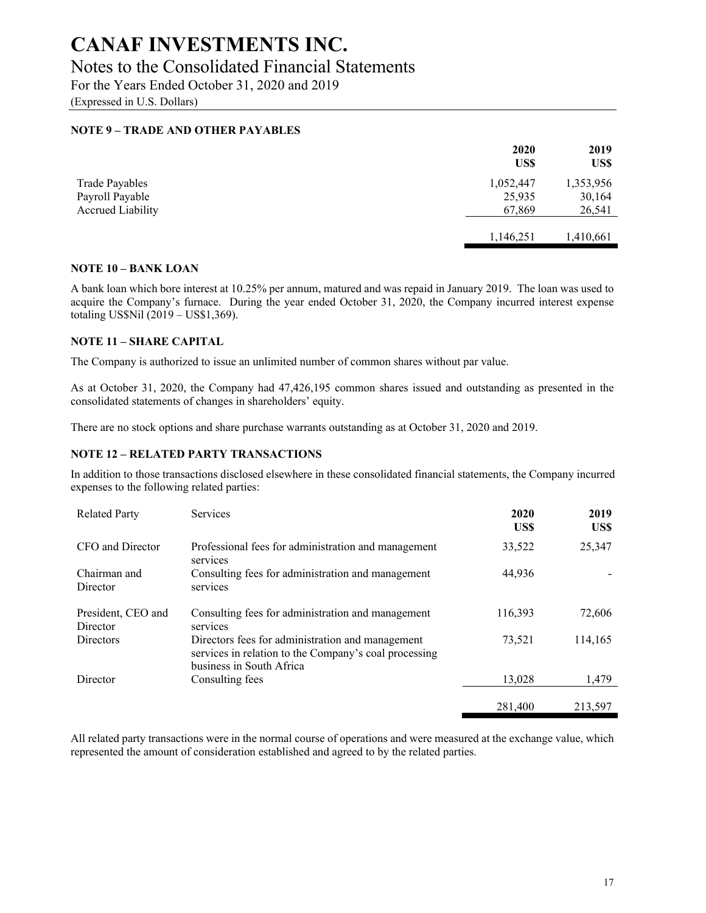## Notes to the Consolidated Financial Statements

For the Years Ended October 31, 2020 and 2019

(Expressed in U.S. Dollars)

### **NOTE 9 – TRADE AND OTHER PAYABLES**

|                                                                      | 2020<br>US\$                  | 2019<br>US\$                  |
|----------------------------------------------------------------------|-------------------------------|-------------------------------|
| <b>Trade Payables</b><br>Payroll Payable<br><b>Accrued Liability</b> | 1,052,447<br>25,935<br>67.869 | 1,353,956<br>30,164<br>26,541 |
|                                                                      | 1,146,251                     | 1,410,661                     |

#### **NOTE 10 – BANK LOAN**

A bank loan which bore interest at 10.25% per annum, matured and was repaid in January 2019. The loan was used to acquire the Company's furnace. During the year ended October 31, 2020, the Company incurred interest expense totaling US\$Nil (2019 – US\$1,369).

#### **NOTE 11 – SHARE CAPITAL**

The Company is authorized to issue an unlimited number of common shares without par value.

As at October 31, 2020, the Company had 47,426,195 common shares issued and outstanding as presented in the consolidated statements of changes in shareholders' equity.

There are no stock options and share purchase warrants outstanding as at October 31, 2020 and 2019.

#### **NOTE 12 – RELATED PARTY TRANSACTIONS**

In addition to those transactions disclosed elsewhere in these consolidated financial statements, the Company incurred expenses to the following related parties:

| <b>Related Party</b>           | Services                                                                                                                              | 2020<br>US\$ | 2019<br>US\$ |
|--------------------------------|---------------------------------------------------------------------------------------------------------------------------------------|--------------|--------------|
| CFO and Director               | Professional fees for administration and management<br>services                                                                       | 33,522       | 25,347       |
| Chairman and<br>Director       | Consulting fees for administration and management<br>services                                                                         | 44,936       |              |
| President, CEO and<br>Director | Consulting fees for administration and management<br>services                                                                         | 116,393      | 72,606       |
| <b>Directors</b>               | Directors fees for administration and management<br>services in relation to the Company's coal processing<br>business in South Africa | 73.521       | 114,165      |
| Director                       | Consulting fees                                                                                                                       | 13.028       | 1.479        |
|                                |                                                                                                                                       | 281,400      | 213,597      |

All related party transactions were in the normal course of operations and were measured at the exchange value, which represented the amount of consideration established and agreed to by the related parties.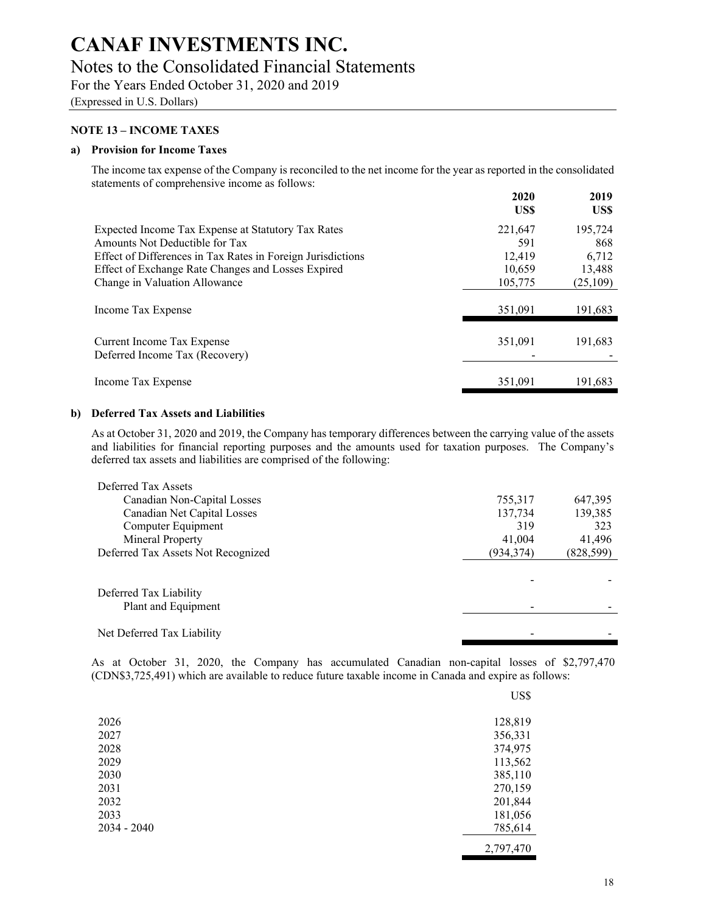# Notes to the Consolidated Financial Statements

For the Years Ended October 31, 2020 and 2019

(Expressed in U.S. Dollars)

### **NOTE 13 – INCOME TAXES**

#### **a) Provision for Income Taxes**

The income tax expense of the Company is reconciled to the net income for the year as reported in the consolidated statements of comprehensive income as follows:

|                                                              | 2020<br>US\$ | 2019<br>US\$ |
|--------------------------------------------------------------|--------------|--------------|
| Expected Income Tax Expense at Statutory Tax Rates           | 221,647      | 195,724      |
| Amounts Not Deductible for Tax                               | 591          | 868          |
| Effect of Differences in Tax Rates in Foreign Jurisdictions  | 12.419       | 6,712        |
| Effect of Exchange Rate Changes and Losses Expired           | 10.659       | 13,488       |
| Change in Valuation Allowance                                | 105,775      | (25,109)     |
| Income Tax Expense                                           | 351,091      | 191,683      |
| Current Income Tax Expense<br>Deferred Income Tax (Recovery) | 351.091      | 191,683      |
| Income Tax Expense                                           | 351,091      | 191.683      |

#### **b) Deferred Tax Assets and Liabilities**

As at October 31, 2020 and 2019, the Company has temporary differences between the carrying value of the assets and liabilities for financial reporting purposes and the amounts used for taxation purposes. The Company's deferred tax assets and liabilities are comprised of the following:

| 755,317    | 647,395    |
|------------|------------|
| 137,734    | 139,385    |
| 319        | 323        |
| 41,004     | 41,496     |
| (934, 374) | (828, 599) |
|            |            |
|            |            |
|            |            |
|            |            |
|            |            |
|            |            |
|            |            |

As at October 31, 2020, the Company has accumulated Canadian non-capital losses of \$2,797,470 (CDN\$3,725,491) which are available to reduce future taxable income in Canada and expire as follows:

|               | US\$      |
|---------------|-----------|
| 2026          | 128,819   |
| 2027          | 356,331   |
| 2028          | 374,975   |
| 2029          | 113,562   |
| 2030          | 385,110   |
| 2031          | 270,159   |
| 2032          | 201,844   |
| 2033          | 181,056   |
| $2034 - 2040$ | 785,614   |
|               | 2,797,470 |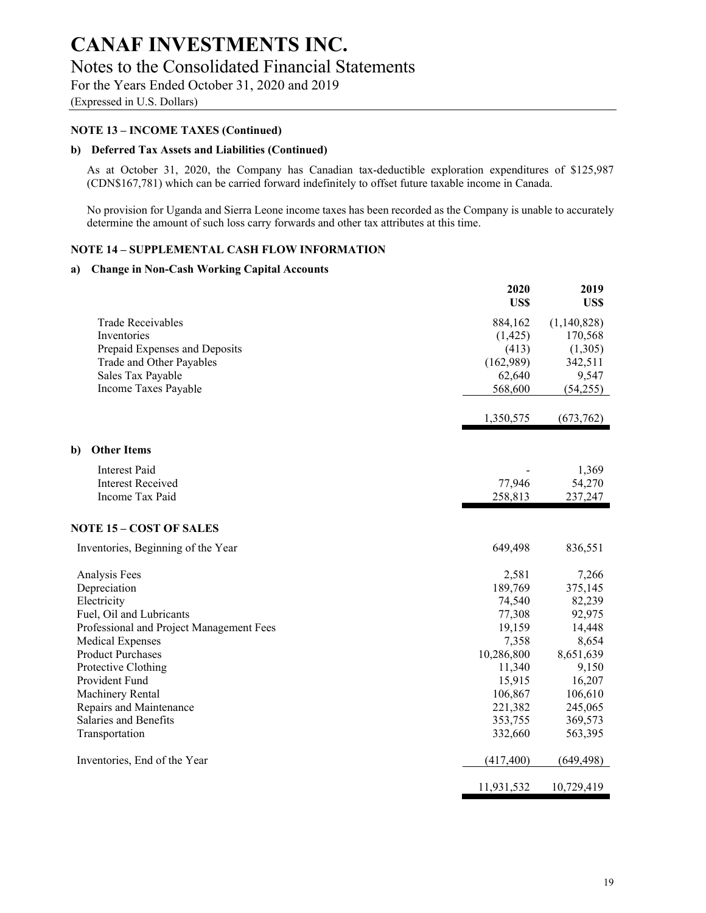# Notes to the Consolidated Financial Statements

For the Years Ended October 31, 2020 and 2019

(Expressed in U.S. Dollars)

## **NOTE 13 – INCOME TAXES (Continued)**

## **b) Deferred Tax Assets and Liabilities (Continued)**

As at October 31, 2020, the Company has Canadian tax-deductible exploration expenditures of \$125,987 (CDN\$167,781) which can be carried forward indefinitely to offset future taxable income in Canada.

No provision for Uganda and Sierra Leone income taxes has been recorded as the Company is unable to accurately determine the amount of such loss carry forwards and other tax attributes at this time.

## **NOTE 14 – SUPPLEMENTAL CASH FLOW INFORMATION**

## **a) Change in Non-Cash Working Capital Accounts**

|                                          | 2020<br>US\$ | 2019<br>US\$ |
|------------------------------------------|--------------|--------------|
| <b>Trade Receivables</b>                 | 884,162      | (1,140,828)  |
| Inventories                              | (1, 425)     | 170,568      |
| Prepaid Expenses and Deposits            | (413)        | (1,305)      |
| Trade and Other Payables                 | (162,989)    | 342,511      |
| Sales Tax Payable                        | 62,640       | 9,547        |
| Income Taxes Payable                     | 568,600      | (54,255)     |
|                                          | 1,350,575    | (673,762)    |
| <b>Other Items</b><br>b)                 |              |              |
| <b>Interest Paid</b>                     |              | 1,369        |
| <b>Interest Received</b>                 | 77,946       | 54,270       |
| Income Tax Paid                          | 258,813      | 237,247      |
| <b>NOTE 15 - COST OF SALES</b>           |              |              |
| Inventories, Beginning of the Year       | 649,498      | 836,551      |
| Analysis Fees                            | 2,581        | 7,266        |
| Depreciation                             | 189,769      | 375,145      |
| Electricity                              | 74,540       | 82,239       |
| Fuel, Oil and Lubricants                 | 77,308       | 92,975       |
| Professional and Project Management Fees | 19,159       | 14,448       |
| <b>Medical Expenses</b>                  | 7,358        | 8,654        |
| <b>Product Purchases</b>                 | 10,286,800   | 8,651,639    |
| Protective Clothing                      | 11,340       | 9,150        |
| Provident Fund                           | 15,915       | 16,207       |
| Machinery Rental                         | 106,867      | 106,610      |
| Repairs and Maintenance                  | 221,382      | 245,065      |
| Salaries and Benefits                    | 353,755      | 369,573      |
| Transportation                           | 332,660      | 563,395      |
| Inventories, End of the Year             | (417, 400)   | (649, 498)   |
|                                          | 11,931,532   | 10,729,419   |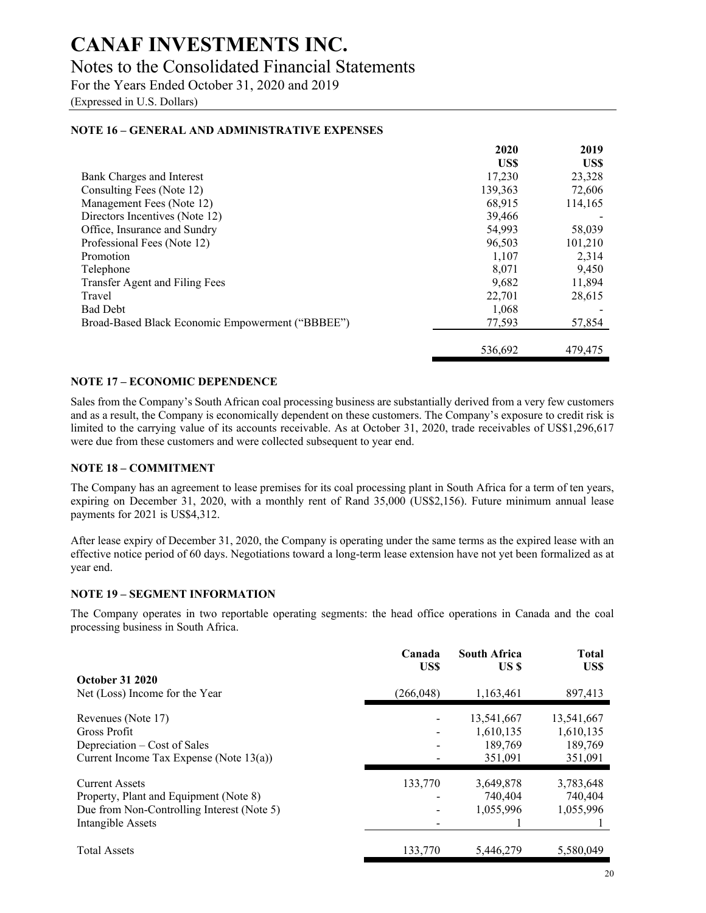## Notes to the Consolidated Financial Statements

For the Years Ended October 31, 2020 and 2019

(Expressed in U.S. Dollars)

## **2020 2019 US\$ US\$**  Bank Charges and Interest 17,230 23,328 Consulting Fees (Note 12) 139,363 72,606 Management Fees (Note 12) 68,915 114,165 Directors Incentives (Note 12) 39,466 Office, Insurance and Sundry 54,993 58,039 Professional Fees (Note 12) 96,503 101,210 Promotion 2,314  $\text{Telephone}$  8,071 9,450 Transfer Agent and Filing Fees 2008 11,894 Travel 22,701 28,615 Bad Debt 2008 - 2008 - 2008 - 2008 - 2008 - 2008 - 2008 - 2008 - 2008 - 2008 - 2008 - 2008 - 2008 - 2008 - 200 Broad-Based Black Economic Empowerment ("BBBEE") 77,593 57,854 536,692 479,475

### **NOTE 16 – GENERAL AND ADMINISTRATIVE EXPENSES**

### **NOTE 17 – ECONOMIC DEPENDENCE**

Sales from the Company's South African coal processing business are substantially derived from a very few customers and as a result, the Company is economically dependent on these customers. The Company's exposure to credit risk is limited to the carrying value of its accounts receivable. As at October 31, 2020, trade receivables of US\$1,296,617 were due from these customers and were collected subsequent to year end.

#### **NOTE 18 – COMMITMENT**

The Company has an agreement to lease premises for its coal processing plant in South Africa for a term of ten years, expiring on December 31, 2020, with a monthly rent of Rand 35,000 (US\$2,156). Future minimum annual lease payments for 2021 is US\$4,312.

After lease expiry of December 31, 2020, the Company is operating under the same terms as the expired lease with an effective notice period of 60 days. Negotiations toward a long-term lease extension have not yet been formalized as at year end.

#### **NOTE 19 – SEGMENT INFORMATION**

The Company operates in two reportable operating segments: the head office operations in Canada and the coal processing business in South Africa.

|                                            | Canada<br>US\$ | <b>South Africa</b><br>US \$ | <b>Total</b><br>US\$ |
|--------------------------------------------|----------------|------------------------------|----------------------|
| <b>October 31 2020</b>                     |                |                              |                      |
| Net (Loss) Income for the Year             | (266, 048)     | 1,163,461                    | 897,413              |
| Revenues (Note 17)                         |                | 13,541,667                   | 13,541,667           |
| Gross Profit                               |                | 1,610,135                    | 1,610,135            |
| Depreciation – Cost of Sales               |                | 189.769                      | 189,769              |
| Current Income Tax Expense (Note $13(a)$ ) |                | 351.091                      | 351,091              |
| <b>Current Assets</b>                      | 133,770        | 3,649,878                    | 3,783,648            |
| Property, Plant and Equipment (Note 8)     |                | 740,404                      | 740,404              |
| Due from Non-Controlling Interest (Note 5) |                | 1,055,996                    | 1,055,996            |
| Intangible Assets                          |                |                              |                      |
| <b>Total Assets</b>                        | 133,770        | 5,446,279                    | 5,580,049            |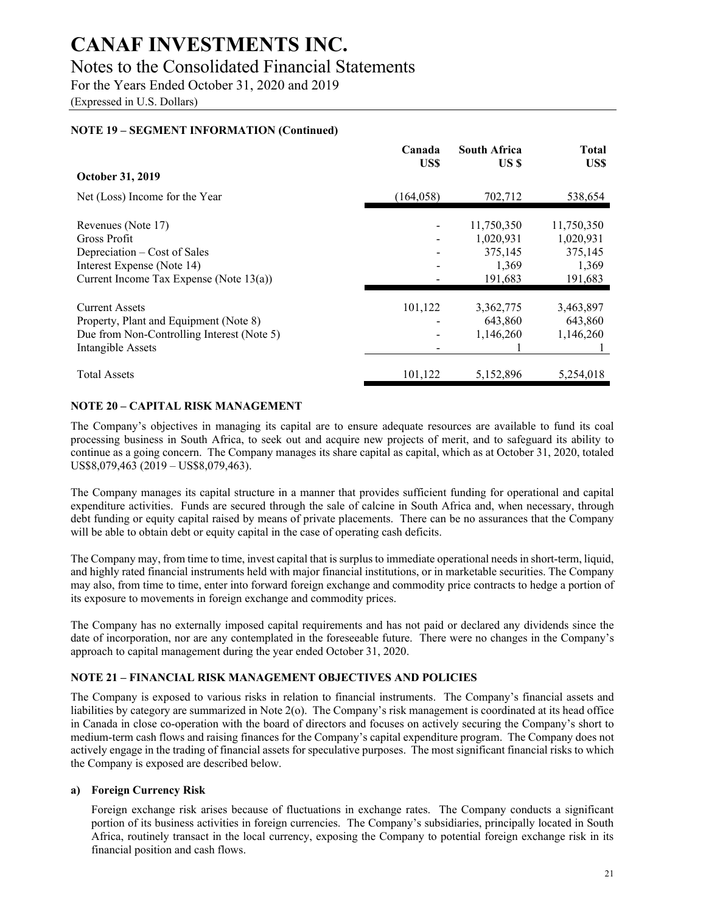## Notes to the Consolidated Financial Statements

For the Years Ended October 31, 2020 and 2019

(Expressed in U.S. Dollars)

## **NOTE 19 – SEGMENT INFORMATION (Continued)**

|                                            | Canada<br>US\$ | <b>South Africa</b><br>US \$ | <b>Total</b><br>US\$ |
|--------------------------------------------|----------------|------------------------------|----------------------|
| October 31, 2019                           |                |                              |                      |
| Net (Loss) Income for the Year             | (164, 058)     | 702,712                      | 538,654              |
| Revenues (Note 17)                         |                | 11,750,350                   | 11,750,350           |
| Gross Profit                               |                | 1,020,931                    | 1,020,931            |
| Depreciation – Cost of Sales               |                | 375,145                      | 375,145              |
| Interest Expense (Note 14)                 |                | 1,369                        | 1,369                |
| Current Income Tax Expense (Note $13(a)$ ) |                | 191,683                      | 191,683              |
| <b>Current Assets</b>                      | 101,122        | 3,362,775                    | 3,463,897            |
| Property, Plant and Equipment (Note 8)     |                | 643,860                      | 643,860              |
| Due from Non-Controlling Interest (Note 5) |                | 1.146.260                    | 1,146,260            |
| Intangible Assets                          |                |                              |                      |
| <b>Total Assets</b>                        | 101,122        | 5,152,896                    | 5,254,018            |

## **NOTE 20 – CAPITAL RISK MANAGEMENT**

The Company's objectives in managing its capital are to ensure adequate resources are available to fund its coal processing business in South Africa, to seek out and acquire new projects of merit, and to safeguard its ability to continue as a going concern. The Company manages its share capital as capital, which as at October 31, 2020, totaled US\$8,079,463 (2019 – US\$8,079,463).

The Company manages its capital structure in a manner that provides sufficient funding for operational and capital expenditure activities. Funds are secured through the sale of calcine in South Africa and, when necessary, through debt funding or equity capital raised by means of private placements. There can be no assurances that the Company will be able to obtain debt or equity capital in the case of operating cash deficits.

The Company may, from time to time, invest capital that is surplus to immediate operational needs in short-term, liquid, and highly rated financial instruments held with major financial institutions, or in marketable securities. The Company may also, from time to time, enter into forward foreign exchange and commodity price contracts to hedge a portion of its exposure to movements in foreign exchange and commodity prices.

The Company has no externally imposed capital requirements and has not paid or declared any dividends since the date of incorporation, nor are any contemplated in the foreseeable future. There were no changes in the Company's approach to capital management during the year ended October 31, 2020.

## **NOTE 21 – FINANCIAL RISK MANAGEMENT OBJECTIVES AND POLICIES**

The Company is exposed to various risks in relation to financial instruments. The Company's financial assets and liabilities by category are summarized in Note 2(o). The Company's risk management is coordinated at its head office in Canada in close co-operation with the board of directors and focuses on actively securing the Company's short to medium-term cash flows and raising finances for the Company's capital expenditure program. The Company does not actively engage in the trading of financial assets for speculative purposes. The most significant financial risks to which the Company is exposed are described below.

## **a) Foreign Currency Risk**

Foreign exchange risk arises because of fluctuations in exchange rates. The Company conducts a significant portion of its business activities in foreign currencies. The Company's subsidiaries, principally located in South Africa, routinely transact in the local currency, exposing the Company to potential foreign exchange risk in its financial position and cash flows.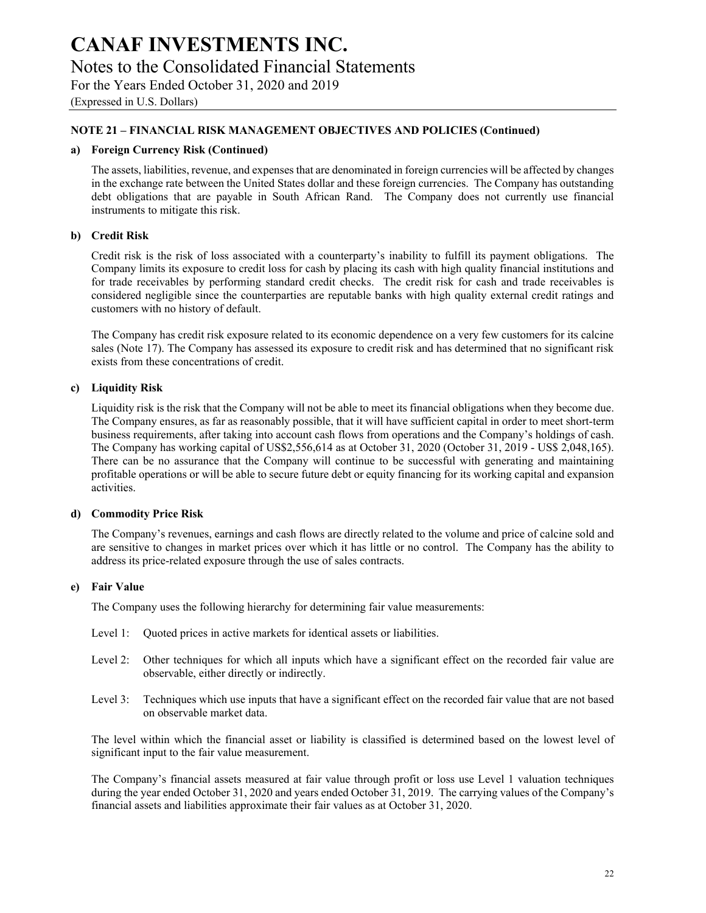(Expressed in U.S. Dollars)

### **NOTE 21 – FINANCIAL RISK MANAGEMENT OBJECTIVES AND POLICIES (Continued)**

#### **a) Foreign Currency Risk (Continued)**

The assets, liabilities, revenue, and expenses that are denominated in foreign currencies will be affected by changes in the exchange rate between the United States dollar and these foreign currencies. The Company has outstanding debt obligations that are payable in South African Rand. The Company does not currently use financial instruments to mitigate this risk.

#### **b) Credit Risk**

Credit risk is the risk of loss associated with a counterparty's inability to fulfill its payment obligations. The Company limits its exposure to credit loss for cash by placing its cash with high quality financial institutions and for trade receivables by performing standard credit checks. The credit risk for cash and trade receivables is considered negligible since the counterparties are reputable banks with high quality external credit ratings and customers with no history of default.

The Company has credit risk exposure related to its economic dependence on a very few customers for its calcine sales (Note 17). The Company has assessed its exposure to credit risk and has determined that no significant risk exists from these concentrations of credit.

#### **c) Liquidity Risk**

Liquidity risk is the risk that the Company will not be able to meet its financial obligations when they become due. The Company ensures, as far as reasonably possible, that it will have sufficient capital in order to meet short-term business requirements, after taking into account cash flows from operations and the Company's holdings of cash. The Company has working capital of US\$2,556,614 as at October 31, 2020 (October 31, 2019 - US\$ 2,048,165). There can be no assurance that the Company will continue to be successful with generating and maintaining profitable operations or will be able to secure future debt or equity financing for its working capital and expansion activities.

#### **d) Commodity Price Risk**

The Company's revenues, earnings and cash flows are directly related to the volume and price of calcine sold and are sensitive to changes in market prices over which it has little or no control. The Company has the ability to address its price-related exposure through the use of sales contracts.

#### **e) Fair Value**

The Company uses the following hierarchy for determining fair value measurements:

- Level 1: Quoted prices in active markets for identical assets or liabilities.
- Level 2: Other techniques for which all inputs which have a significant effect on the recorded fair value are observable, either directly or indirectly.
- Level 3: Techniques which use inputs that have a significant effect on the recorded fair value that are not based on observable market data.

The level within which the financial asset or liability is classified is determined based on the lowest level of significant input to the fair value measurement.

The Company's financial assets measured at fair value through profit or loss use Level 1 valuation techniques during the year ended October 31, 2020 and years ended October 31, 2019. The carrying values of the Company's financial assets and liabilities approximate their fair values as at October 31, 2020.